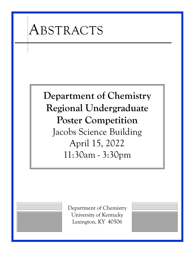

# **Department of Chemistry Regional Undergraduate Poster Competition** Jacobs Science Building April 15, 2022 11:30am - 3:30pm

Department of Chemistry University of Kentucky Lexington, KY 40506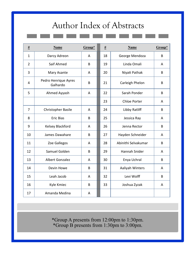# Author Index of Abstracts

| <b>Name</b>                      | Group* | $\frac{\#}{\#}$ | Name                 | Group* |
|----------------------------------|--------|-----------------|----------------------|--------|
| Darcy Adreon                     | A      | 18              | George Mendoza       | B      |
| Saif Ahmed                       | B      | 19              | Linda Omali          | A      |
| Mary Asante                      | A      | 20              | Niyati Pathak        | B      |
| Pedro Henrique Ayres<br>Galhardo | B      | 21              | Carleigh Phelon      | B      |
| Ahmed Ayyash                     | A      | 22              | Sarah Ponder         | B      |
|                                  |        | 23              | <b>Chloe Porter</b>  | A      |
| Christopher Basile               | A      | 24              | Libby Ratliff        | B      |
| <b>Eric Bias</b>                 | B      | 25              | Jessica Ray          | A      |
| Kelsey Blackford                 | A      | 26              | Jenna Rector         | B      |
| James Dawahare                   | B      | 27              | Hayden Schneider     | A      |
| Zoe Gallegos                     | A      | 28              | Abinithi Selvakumar  | B      |
| Samuel Golden                    | B      | 29              | <b>Hannah Snider</b> | A      |
| <b>Albert Gonzalez</b>           | A      | 30              | Enya Uchral          | B      |
| Devin Howe                       | B      | 31              | Aaliyah Winters      | A      |
| Leah Jacob                       | A      | 32              | Levi Wolff           | B      |
| Kyle Kmiec                       | B      | 33              | Joshua Zyzak         | A      |
| Amanda Medina                    | A      |                 |                      |        |
|                                  |        |                 |                      |        |

\*Group A presents from 12:00pm to 1:30pm. \*Group B presents from 1:30pm to 3:00pm.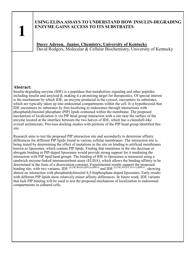### **USING ELISA ASSAYS TO UNDERSTAND HOW INSULIN-DEGRADING ENZYME GAINS ACCESS TO ITS SUBSTRATES**

**Darcy Adreon, Junior, Chemistry, University of Kentucky** David Rodgers, Molecular & Cellular Biochemistry, University of Kentucky

#### **Abstract:**

Insulin-degrading enzyme (IDE) is a peptidase that metabolizes signaling and other peptides including insulin and amyloid-β, making it a promising target for therapeutics. Of special interest is the mechanism by which IDE, an enzyme produced in the cytosol, encounters its substrates, which are typically taken up into endosomal compartments within the cell. It is hypothesized that IDE encounters its substrates by first localizing to endosomes through interactions with phosphatidylinositol phosphate (PIP) lipids contained within the membrane. The proposed mechanism of localization is via PIP head group interaction with a site near the surface of the enzyme located at the interface between the two halves of IDE, which has a clamshell-like overall architecture. Previous docking studies with portions of the PIP head group identified this site.

Research aims to test the proposed PIP interaction site and secondarily to determine affinity differences for different PIP lipids found in various cellular membranes. The interaction site is being tested by determining the effect of mutations in the site on binding to artificial membranes known as liposomes, which contain PIP lipids. Finding that mutations in the site decrease or abrogate binding to PIP-doped liposomes would provide strong support for it mediating the interaction with PIP lipid head groups. The binding of IDE to liposomes is measured using a sandwich enzyme-linked immunosorbent assay (ELISA), which allows the binding affinity to be determined in the form of a dissociation constant. Experimental results support the proposed binding site, with two variants, IDE <sup>Q129E,R824A,R892A,H885A</sup> and IDE <sup>Q129E,N821A,Y831A,H885A</sup>, showing almost no interaction with phosphatidylinositol 4,5-bisphosphate-doped liposomes. Early results with different PIP lipids show relatively minor affinity differences. In future work, IDE variants that lack PIP binding will be used to test the proposed mechanism of localization to endosomal compartments in cultured cells.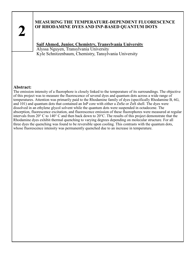# **MEASURING THE TEMPERATURE-DEPENDENT FLUORESCENCE OF RHODAMINE DYES AND INP-BASED QUANTUM DOTS**

# **Saif Ahmed, Junior, Chemistry, Transylvania University**

Alyssa Nguyen, Transylvania University Kyle Schnitzenbaum, Chemistry, Tansylvania University

#### **Abstract:**

The emission intensity of a fluorophore is closely linked to the temperature of its surroundings. The objective of this project was to measure the fluorescence of several dyes and quantum dots across a wide range of temperatures. Attention was primarily paid to the Rhodamine family of dyes (specifically Rhodamine B, 6G, and 101) and quantum dots that contained an InP core with either a ZnSe or ZnS shell. The dyes were dissolved in an ethylene glycol solvent while the quantum dots were suspended in octadecene. The absorption, fluorescence excitation, and fluorescence emission of these fluorophores were measured at regular intervals from 20° C to 140° C and then back down to 20°C. The results of this project demonstrate that the Rhodamine dyes exhibit thermal quenching to varying degrees depending on molecular structure. For all three dyes the quenching was found to be reversible upon cooling. This contrasts with the quantum dots, whose fluorescence intensity was permanently quenched due to an increase in temperature.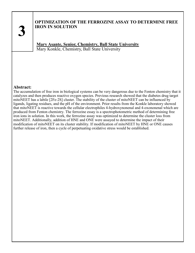# **OPTIMIZATION OF THE FERROZINE ASSAY TO DETERMINE FREE IRON IN SOLUTION**

**Mary Asante, Senior, Chemistry, Ball State University** Mary Konkle, Chemistry, Ball State University

#### **Abstract:**

The accumulation of free iron in biological systems can be very dangerous due to the Fenton chemistry that it catalyzes and then produces reactive oxygen species. Previous research showed that the diabetes drug target mitoNEET has a labile [2Fe-2S] cluster. The stability of the cluster of mitoNEET can be influenced by ligands, ligating residues, and the pH of the environment. Prior results from the Konkle laboratory showed that mitoNEET is reactive towards the cellular electrophiles 4-hydroxynonenal and 4-oxononenal which are produced from Fenton chemistry. The ferrozine essay is a spectrophotometric method of determining free iron ions in solution. In this work, the ferrozine assay was optimized to determine the cluster loss from mitoNEET. Additionally, addition of HNE and ONE were assayed to determine the impact of their modification of mitoNEET on its cluster stability. If modification of mitoNEET by HNE or ONE causes further release of iron, then a cycle of perpetuating oxidative stress would be established.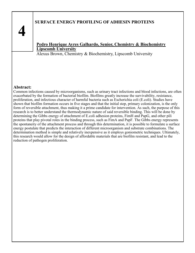# **SURFACE ENERGY PROFILING OF ADHESIN PROTEINS**

### **Pedro Henrique Ayres Galhardo, Senior, Chemistry & Biochemistry Lipscomb University**

Alexus Brown, Chemistry & Biochemistry, Lipscomb University

#### **Abstract:**

Common infections caused by microorganisms, such as urinary tract infections and blood infections, are often exacerbated by the formation of bacterial biofilm. Biofilms greatly increase the survivability, resistance, proliferation, and infectious character of harmful bacteria such as Escherichia coli (E.coli). Studies have shown that biofilm formation occurs in five stages and that the initial step, primary colonization, is the only form of reversible attachment, thus making it a prime candidate for intervention. As such, the purpose of this research is to better understand the thermodynamic nature of said reversible binding. This will be done by determining the Gibbs energy of attachment of E.coli adhesion proteins, FimH and PapG, and other pili proteins that play pivotal roles in the binding process, such as FimA and PapF. The Gibbs energy represents the spontaneity of the attachment process and through this determination, it is possible to formulate a surface energy postulate that predicts the interaction of different microorganism and substrate combinations. The determination method is simple and relatively inexpensive as it employs goniometric techniques. Ultimately, this research would allow for the design of affordable materials that are biofilm resistant, and lead to the reduction of pathogen proliferation.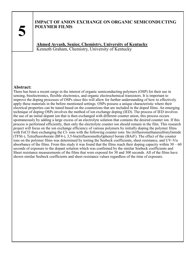### **IMPACT OF ANION EXCHANGE ON ORGANIC SEMICONDUCTING POLYMER FILMS**

**Ahmed Ayyash, Senior, Chemistry, University of Kentucky** Kenneth Graham, Chemistry, University of Kentucky

#### **Abstract:**

There has been a recent surge in the interest of organic semiconducting polymers (OSP) for their use in sensing, bioelectronics, flexible electronics, and organic electrochemical transistors. It is important to improve the doping processes of OSPs since this will allow for further understanding of how to effectively apply these materials in the before mentioned settings. OSPs possess a unique characteristic where their electrical properties can be tuned based on the counterions that are included in the doped films. An emerging technique of doping OSPs involves the method of ion exchange doping (IED). The process of IED involves the use of an initial dopant ion that is then exchanged with different counter anion, this process occurs spontaneously by adding a large excess of an electrolyte solution that contains the desired counter ion. If this process is performed efficiently, then only the electrolyte counter ion should remain in the film. This research project will focus on the ion exchange efficiency of various polymers by initially doping the polymer films with FeCl3 then exchanging the Cl- ions with the following counter ions: bis (trifluoromethanesulfonyl)imide (TFSI-), Tetrafluoroborate (BF4-), 3,5-bis(trifluoromethyl)phenyl borate (BArF). The effect of the counter ions on the polymer films was determined by testing the Seebeck coefficients, sheet resistance, and UV-Vis absorbance of the films. From this study it was found that the films reach their doping capacity within  $30 - 60$ seconds of exposure to the dopant solution which was confirmed by the similar Seebeck coefficients and Sheet resistance measurements of the films that were exposed for 30 and 300 seconds. All of the films have shown similar Seebeck coefficients and sheet resistance values regardless of the time of exposure.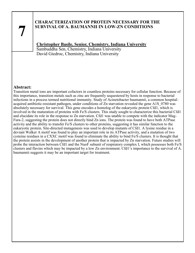### **CHARACTERIZATION OF PROTEIN NECESSARY FOR THE SURVIVAL OF A. BAUMANNII IN LOW-ZN CONDITIONS**

# **Christopher Basile, Senior, Chemistry, Indiana University**

Sambuddha Sen, Chemistry, Indiana University David Giedroc, Chemistry, Indiana University

#### **Abstract:**

Transition metal ions are important cofactors in countless proteins necessary for cellular function. Because of this importance, transition metals such as zinc are frequently sequestered by hosts in response to bacterial infections in a process termed nutritional immunity. Study of Acinetobacter baumannii, a common hospitalacquired antibiotic-resistant pathogen, under conditions of Zn starvation revealed the gene A1S\_0780 was absolutely necessary for survival. This gene encodes a homolog of the eukaryotic protein Cfd1, which is involved in the maturation of proteins with Fe/S clusters. This study sought to characterize this bacterial Cfd1 and elucidate its role in the response to Zn starvation. Cfd1 was unable to compete with the indicator Mag-Fura-2, suggesting the protein does not directly bind Zn ions. The protein was found to have both ATPase activity and the ability to transfer Fe/S clusters to other proteins, suggesting it has similar function to the eukaryotic protein. Site-directed mutagenesis was used to develop mutants of Cfd1. A lysine residue in a deviant Walker A motif was found to play an important role in its ATPase activity, and a mutation of two cysteine residues in a CXXC motif was found to eliminate the ability to bind Fe/S clusters. It is thought that the protein assists in the development of another protein that is impacted by Zn starvation. Future studies will probe the interaction between Cfd1 and the NuoF subunit of respiratory complex I, which possesses both Fe/S clusters and flavins which may be impacted by a low Zn environment. Cfd1's importance to the survival of A. baumannii suggests it may be an important target for treatment.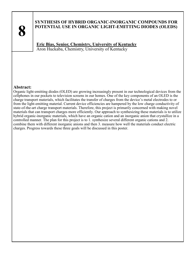

# **SYNTHESIS OF HYBRID ORGANIC-INORGANIC COMPOUNDS FOR POTENTIAL USE IN ORGANIC LIGHT-EMITTING DIODES (OLEDS)**

**Eric Bias, Senior, Chemistry, University of Kentucky** Aron Huckaba, Chemistry, University of Kentucky

#### **Abstract:**

Organic light-emitting diodes (OLED) are growing increasingly present in our technological devices from the cellphones in our pockets to television screens in our homes. One of the key components of an OLED is the charge transport materials, which facilitates the transfer of charges from the device's metal electrodes to or from the light-emitting material. Current device efficiencies are hampered by the low charge conductivity of state-of-the-art charge transport materials. Therefore, this project is primarily concerned with making novel materials that can transport charges more efficiently. Our approach to synthesizing these materials is to utilize hybrid organic-inorganic materials, which have an organic cation and an inorganic anion that crystallize in a controlled manner. The plan for this project is to 1. synthesize several different organic cations and 2. combine them with different inorganic anions and then 3. measure how well the materials conduct electric charges. Progress towards these three goals will be discussed in this poster.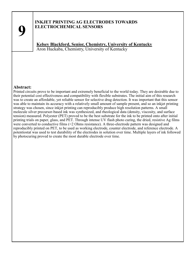### **INKJET PRINTING AG ELECTRODES TOWARDS ELECTROCHEMICAL SENSORS**

**Kelsey Blackford, Senior, Chemistry, University of Kentucky** Aron Huckaba, Chemistry, University of Kentucky

#### **Abstract:**

Printed circuits prove to be important and extremely beneficial to the world today. They are desirable due to their potential cost effectiveness and compatibility with flexible substrates. The initial aim of this research was to create an affordable, yet reliable sensor for selective drug detection. It was important that this sensor was able to maintain its accuracy with a relatively small amount of sample present, and so an inkjet printing strategy was chosen, since inkjet printing can reproducibly produce high resolution patterns. A small molecule silver precursor-based ink was synthesized, and rheological data (density, viscosity, and surface tension) measured. Polyester (PET) proved to be the best substrate for the ink to be printed onto after initial printing trials on paper, glass, and PET. Through intense UV flash photo curing, the dried, resistive Ag films were converted to conductive films (<2 Ohms resistance). A three-electrode pattern was designed and reproducibly printed on PET, to be used as working electrode, counter electrode, and reference electrode. A potentiostat was used to test durability of the electrodes in solution over time. Multiple layers of ink followed by photocuring proved to create the most durable electrode over time.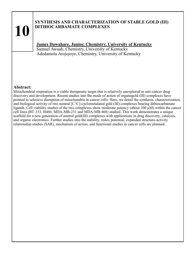# **SYNTHESIS AND CHARACTERIZATION OF STABLE GOLD (III) DITHIOCARBAMATE COMPLEXES**

# **James Dawahare, Junior, Chemistry, University of Kentucky**

Samuel Awuah, Chemistry, University of Kentucky Adedamola Arojojoye, Chemistry, University of Kentucky

#### **Abstract:**

Mitochondrial respiration is a viable therapeutic target that is relatively unexplored in anti-cancer drug discovery and development. Recent studies into the mode of action of organogold (III) complexes have pointed to selective disruption of mitochondria in cancer cells. Here, we detail the synthesis, characterization, and biological activity of two neutral [C^C]-cyclometalated gold (III) complexes bearing dithiocarbamate ligands. Cell viability studies of the two complexes show moderate potency (about 100 µM) within the cancer cell lines (BT-333, H460, MDA-MB-231 and MDA-MB-468) studied. This work demonstrates a unique scaffold for a new generation of neutral gold(III) complexes with applications in drug discovery, catalysis, and organic electronics. Further studies into the stability, redox potential, expanded structure-activity relationship studies (SAR), mechanism of action, and functional studies in cancer cells are planned.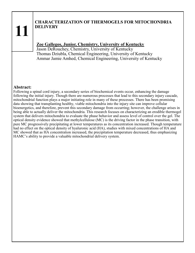# **CHARACTERIZATION OF THERMOGELS FOR MITOCHONDRIA DELIVERY**

# **Zoe Gallegos, Junior, Chemistry, University of Kentucky**

Jason DeRouchey, Chemistry, University of Kentucky Thomas Dziubla, Chemical Engineering, University of Kentucky Ammar Jamie Amhed, Chemical Engineering, University of Kentucky

#### **Abstract:**

Following a spinal cord injury, a secondary series of biochemical events occur, enhancing the damage following the initial injury. Though there are numerous processes that lead to this secondary injury cascade, mitochondrial function plays a major initiating role in many of these processes. There has been promising data showing that transplanting healthy, viable mitochondria into the injury site can improve cellular bioenergetics, and therefore, prevent this secondary damage from occurring; however, the challenge arises in being able to actually deliver the mitochondria. This research focuses on characterizing an erodible thermogel system that delivers mitochondria to evaluate the phase behavior and assess level of control over the gel. The optical density evidence showed that methylcellulose (MC) is the driving factor in the phase transition, with pure MC progressively precipitating at lower temperatures as its concentration increased. Though temperature had no effect on the optical density of hyaluronic acid (HA), studies with mixed concentrations of HA and MC showed that as HA concentration increased, the precipitation temperature decreased, thus emphasizing HAMC's ability to provide a valuable mitochondrial delivery system.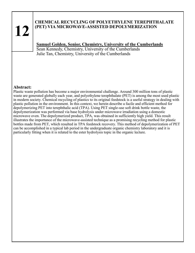# **CHEMICAL RECYCLING OF POLYETHYLENE TEREPHTHALATE (PET) VIA MICROWAVE-ASSISTED DEPOLYMERIZATION**

# **Samuel Golden, Senior, Chemistry, University of the Cumberlands**

Sean Kennedy, Chemistry, University of the Cumberlands Julie Tan, Chemistry, University of the Cumberlands

#### **Abstract:**

Plastic waste pollution has become a major environmental challenge. Around 300 million tons of plastic waste are generated globally each year, and polyethylene terephthalate (PET) is among the most used plastic in modern society. Chemical recycling of plastics to its original feedstock is a useful strategy in dealing with plastic pollution in the environment. In this context, we herein describe a facile and efficient method for depolymerizing PET into terephthalic acid (TPA). Using PET single-use soft drink bottle waste, the depolymerization was performed via base hydrolysis under microwave irradiation using a domestic microwave oven. The depolymerized product, TPA, was obtained in sufficiently high yield. This result illustrates the importance of the microwave-assisted technique as a promising recycling method for plastic bottles made from PET, which resulted in TPA feedstock recovery. This method of depolymerization of PET can be accomplished in a typical lab period in the undergraduate organic chemistry laboratory and it is particularly fitting when it is related to the ester hydrolysis topic in the organic lecture.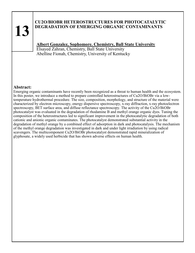# **CU2O/BIOBR HETEROSTRUCTURES FOR PHOTOCATALYTIC DEGRADATION OF EMERGING ORGANIC CONTAMINANTS**

# **Albert Gonzalez, Sophomore. Chemistry, Ball State University**

Elsayed Zahran, Chemistry, Ball State University Abelline Fionah, Chemistry, University of Kentucky

#### **Abstract:**

Emerging organic contaminants have recently been recognized as a threat to human health and the ecosystem. In this poster, we introduce a method to prepare controlled heterostructures of Cu2O/BiOBr via a lowtemperature hydrothermal procedure. The size, composition, morphology, and structure of the material were characterized by electron microscopy, energy dispersive spectroscopy, x-ray diffraction, x-ray photoelectron spectroscopy, BET surface area, and diffuse reflectance spectroscopy. The activity of the Cu2O/BiOBr photocatalyst was evaluated in the degradation of rhodamine B and methyl orange organic dyes. Tuning the composition of the heterostructures led to significant improvement in the photocatalytic degradation of both cationic and anionic organic contaminates. The photocatalyst demonstrated substantial activity in the degradation of methyl orange by a combined effect of adsorption in dark and photocatalysis. The mechanism of the methyl orange degradation was investigated in dark and under light irradiation by using radical scavengers. The multicomponent Cu2O/BiOBr photocatalyst demonstrated rapid mineralization of glyphosate, a widely used herbicide that has shown adverse effects on human health.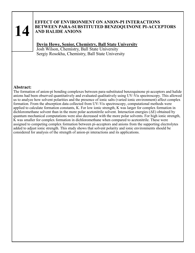## **EFFECT OF ENVIRONMENT ON ANION-PI INTERACTIONS BETWEEN PARA-SUBSTITUTED BENZOQUINONE PI-ACCEPTORS AND HALIDE ANIONS**

# **Devin Howe, Senior, Chemistry, Ball State University**

Josh Wilson, Chemistry, Ball State University Sergiy Rosokha, Chemistry, Ball State University

#### **Abstract:**

The formation of anion-pi bonding complexes between para-substituted benzoquinone pi-acceptors and halide anions had been observed quantitatively and evaluated qualitatively using UV-Vis spectroscopy. This allowed us to analyze how solvent polarities and the presence of ionic salts (varied ionic environment) affect complex formation. From the absorption data collected from UV-Vis spectroscopy, computational methods were applied to calculate formation constants, K. For low ionic strength, K was larger for complex formation in dichloromethane solvent than in the more polar acetonitrile solvent. Interaction energies ( $\Delta E$ ) obtained by quantum mechanical computations were also decreased with the more polar solvents. For high ionic strength, K was smaller for complex formation in dichloromethane when compared to acetonitrile. These were assigned to competing complex formation between pi-acceptors and anions from the supporting electrolytes added to adjust ionic strength. This study shows that solvent polarity and ionic environments should be considered for analysis of the strength of anion-pi interactions and its applications.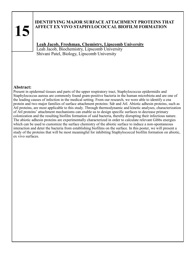# **IDENTIFYING MAJOR SURFACE ATTACHMENT PROTEINS THAT AFFECT EX VIVO STAPHYLOCOCCAL BIOFILM FORMATION**

# **Leah Jacob, Freshman, Chemistry, Lipscomb University**

Leah Jacob, Biochemistry, Lipscomb University Shivani Patel, Biology, Lipscomb University

#### **Abstract:**

Present in epidermal tissues and parts of the upper respiratory tract, Staphylococcus epidermidis and Staphylococcus aureus are commonly found gram-positive bacteria in the human microbiota and are one of the leading causes of infection in the medical setting. From our research, we were able to identify a cna protein and two major families of surface attachment proteins: Sdr and AtI. Abiotic adhesin proteins, such as AtI proteins, are most applicable to this study. Through thermodynamic and kinetic analyses, characterization of AtI proteins' attachment mechanisms can enable us to design specific surfaces to decrease primary colonization and the resulting biofilm formation of said bacteria, thereby disrupting their infectious nature. The abiotic adhesin proteins are experimentally characterized in order to calculate relevant Gibbs energies which can be used to customize the surface chemistry of the abiotic surface to induce a non-spontaneous interaction and deter the bacteria from establishing biofilms on the surface. In this poster, we will present a study of the proteins that will be most meaningful for inhibiting Staphylococcal biofilm formation on abiotic, ex vivo surfaces.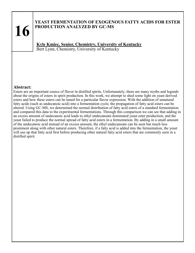## **YEAST FERMENTATION OF EXOGENOUS FATTY ACIDS FOR ESTER PRODUCTION ANALYZED BY GC-MS**

**Kyle Kmiec, Senior, Chemistry, University of Kentucky** Bert Lynn, Chemistry, University of Kentucky

#### **Abstract:**

Esters are an important source of flavor in distilled spirits. Unfortunately, there are many myths and legends about the origins of esters in spirit production. In this work, we attempt to shed some light on yeast derived esters and how these esters can be tuned for a particular flavor expression. With the addition of unnatural fatty acids (such as undecanoic acid) into a fermentation cycle, the propagation of fatty acid esters can be altered. Using GC-MS, we determined the normal distribution of fatty acid esters of a standard fermentation and compared this data to the experimental fermentations. Through this comparison we can see that adding in an excess amount of undecanoic acid leads to ethyl undecanoate dominated yeast ester production, and the yeast failed to produce the normal spread of fatty acid esters in a fermentation. By adding in a small amount of the undecanoic acid instead of an excess amount, the ethyl undecanoate can be seen but much less prominent along with other natural esters. Therefore, if a fatty acid is added into the fermentation, the yeast will use up that fatty acid first before producing other natural fatty acid esters that are commonly seen in a distilled spirit.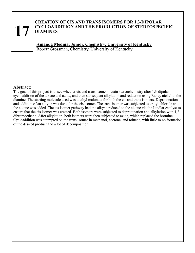### **CREATION OF CIS AND TRANS ISOMERS FOR 1,3-DIPOLAR CYCLOADDITION AND THE PRODUCTION OF STEREOSPECIFIC DIAMINES**

**Amanda Medina, Junior, Chemistry, University of Kentucky** Robert Grossman, Chemistry, University of Kentucky

#### **Abstract:**

The goal of this project is to see whether cis and trans isomers retain stereochemistry after 1,3-dipolar cycloaddition of the alkene and azide, and then subsequent alkylation and reduction using Raney nickel to the diamine. The starting molecule used was diethyl malonate for both the cis and trans isomers. Deprotonation and addition of an alkyne was done for the cis isomer. The trans isomer was subjected to crotyl chloride and the alkene was added. The cis isomer pathway had the alkyne reduced to the alkene via the Lindlar catalyst to ensure that the cis isomer was created. Both isomers were subjected to deprotonation and alkylation with 1,2 dibromoethane. After alkylation, both isomers were then subjected to azide, which replaced the bromine. Cycloaddition was attempted on the trans isomer in methanol, acetone, and toluene, with little to no formation of the desired product and a lot of decomposition.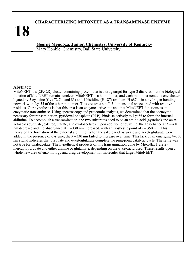# **CHARACTERIZING MITONEET AS A TRANSAMINASE ENZYME**

**George Mendoza, Junior, Chemistry, University of Kentucky** Mary Konkle, Chemistry, Ball State University

#### **Abstract:**

**18**

MitoNEET is a [2Fe-2S]-cluster containing protein that is a drug target for type-2 diabetes, but the biological function of MitoNEET remains unclear. MitoNEET is a homodimer, and each monomer contains one cluster ligated by 3 cysteine (Cys 72,74, and 83) and 1 histidine (His87) residues. His87 is in a hydrogen bonding network with Lys55 of the other monomer. This creates a small 3-dimensional space lined with reactive residues. Our hypothesis is that this area is an enzyme active site and that MitoNEET functions as an enzymatic transaminase. Using spectroscopy and proteomic analysis, we determined that the coenzyme necessary for transamination, pyridoxal phosphate (PLP), binds selectively to Lys55 to form the internal aldimine. To accomplish a transamination, the two substrates need to be an amino acid (cysteine) and an  $\alpha$ ketoacid (pyruvate,  $\alpha$ -ketoglutarate, and oxaloacetate). Upon addition of cysteine, the absorbance at  $\lambda = 410$ nm decrease and the absorbance at  $\lambda$  =330 nm increased, with an isosbestic point of  $\lambda$ = 350 nm. This indicated the formation of the external aldimine. When the a-ketoacid pyruvate and a-ketoglutarate were added in the presence of cysteine, the  $\lambda = 330$  nm failed to increase over time. This lack of an emerging  $\lambda = 330$ nm signal indicates that pyruvate and α-ketoglutarate complete the ping-pong catalytic cycle. The same was not true for oxaloacetate. The hypothetical products of this transamination done by MitoNEET are 2 mercaptopyruvate and either alanine or glutamate, depending on the α-ketoacid used. These results open a whole new area of enzymology and drug development for molecules that target MitoNEET.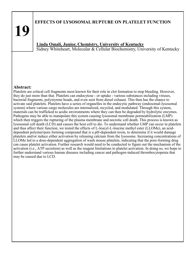# **EFFECTS OF LYSOSOMAL RUPTURE ON PLATELET FUNCTION**

**Linda Omali, Junior, Chemistry, University of Kentucky** Sidney Whiteheart, Molecular & Cellular Biochemistry, University of Kentucky

#### **Abstract:**

Platelets are critical cell fragments most known for their role in clot formation to stop bleeding. However, they do just more than that. Platelets can endocytose - or uptake - various substances including viruses, bacterial fragments, polystyrene beads, and even soot from diesel exhaust. This then has the chance to activate said platelets. Platelets have a series of organelles in the endocytic pathway (endosomal-lysosomal system) where various cargo molecules are internalized, recycled, and modulated. Through this system, materials can be trafficked to acidic environments where they can then be degraded by hydrolytic enzymes. Pathogens may be able to manipulate this system causing lysosomal membrane permeabilization (LMP) which then triggers the rupturing of the plasma membrane and necrotic cell death. This process is known as lysosomal cell death (LCD) and causes the host cell to die. To understand whether LMP can occur in platelets and thus affect their function, we tested the effects of L-leucyl-L-leucine methyl ester (LLOMe), an aciddependent polymer/pore forming compound that is a pH-dependent toxin, to determine if it would damage platelets and/or induce either activation by releasing calcium from the lysosome. Increasing concentrations of LLOMe led to a dose-dependent aggregation of wash mouse platelets, indicating that the pore-forming drug can cause platelet activation. Further research would need to be conducted to figure out the mechanism of the activation (i.e., ATP secretion) as well as the reagent limitations to platelet activation. In doing so, we hope to further understand various human diseases including cancer and pathogen-induced thrombocytopenia that may be caused due to LCD.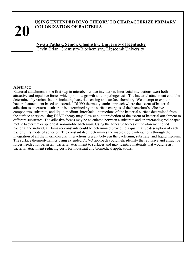# **USING EXTENDED DLVO THEORY TO CHARACTERIZE PRIMARY COLONIZATION OF BACTERIA**

**Niyati Pathak, Senior, Chemistry, University of Kentucky** Cavitt Brian, Chemistry/Biochemistry, Lipscomb University

#### **Abstract:**

Bacterial attachment is the first step in microbe-surface interaction. Interfacial interactions exert both attractive and repulsive forces which promote growth and/or pathogenesis. The bacterial attachment could be determined by variant factors including bacterial sensing and surface chemistry. We attempt to explain bacterial attachment based on extended DLVO thermodynamic approach where the extent of bacterial adhesion to an external substrate is determined by the surface energies of the bacterium's adhesive components, substrate, and liquid medium. Interfacial interactions of the bacterial surface determined from the surface energies using DLVO theory may allow explicit prediction of the extent of bacterial attachment to different substrates. The adhesive forces may be calculated between a substrate and an interacting rod-shaped, motile bacterium or spherical, non-motile bacterium. Using the adhesive forces of the aforementioned bacteria, the individual Hamaker constants could be determined providing a quantitative description of each bacterium's mode of adhesion. The constant itself determines the macroscopic interactions through the integration of all the intermolecular interactions present between the bacterium, substrate, and liquid medium. The surface thermodynamics using extended DLVO approach could help identify the repulsive and attractive forces needed for persistent bacterial attachment to surfaces and may identify materials that would resist bacterial attachment reducing costs for industrial and biomedical applications.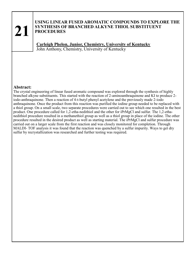#### **USING LINEAR FUSED AROMATIC COMPOUNDS TO EXPLORE THE SYNTHESIS OF BRANCHED ALKYNE THIOL SUBSTITUENT PROCEDURES**

**Carleigh Phelon, Junior, Chemistry, University of Kentucky** John Anthony, Chemistry, University of Kentucky

#### **Abstract:**

The crystal engineering of linear fused aromatic compound was explored through the synthesis of highly branched alkyne substituents. This started with the reaction of 2-aminoanthraquinone and KI to produce 2 iodo-anthraquinone. Then a reaction of 4-t-butyl phenyl acetylene and the previously made 2-iodo anthraquinone. Once the product from this reaction was purified the iodine group needed to be replaced with a thiol group. On a small scale, two separate procedures were carried out to see which one resulted in the best product. One procedure called for 1,2-etha-nedithiol and the other for iPrMgCl and sulfur. The 1,2-ethanedithiol procedure resulted in a methanethiol group as well as a thiol group in place of the iodine. The other procedure resulted in the desired product as well as starting material. The iPrMgCl and sulfur procedure was carried out on a larger scale from the first reaction and was closely monitored for completion. Through MALDI- TOF analysis it was found that the reaction was quenched by a sulfur impurity. Ways to get dry sulfur by recrystallization was researched and further testing was required.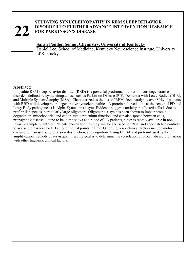#### **STUDYING SYNUCLEINOPATHY IN REM SLEEP BEHAVIOR DISORDER TO FURTHER ADVANCE INTERVENTION RESEARCH FOR PARKINSON'S DISEASE**

## **Sarah Ponder, Senior, Chemistry, University of Kentucky**

Daniel Lee, School of Medicine, Kentucky Neuroscience Institute, University of Kentucky

#### **Abstract:**

Idiopathic REM sleep behavior disorder (RBD) is a powerful prodromal marker of neurodegenerative disorders defined by synucleinopathies, such as Parkinson Disease (PD), Dementia with Lewy Bodies (DLB), and Multiple System Atrophy (MSA). Characterized as the loss of REM sleep paralysis, over 80% of patients with RBD will develop neurodegenerative synucleinopathies. A protein believed to be at the center of PD and Lewy Body pathogenesis is Alpha-Synuclein (a-syn). Evidence suggests toxicity in affected cells is due to prefibrillar species, particularly large oligomers. Oligomeric a-syn has been shown to impair protein degradation, mitochondrial and endoplasmic reticulum function, and can also spread between cells, propagating disease. Found to be in the saliva and blood of PD patients, a-syn is readily available in noninvasive sample quantities. Patients chosen for the study will be accessed for RBD and age-matched controls to assess biomarkers for PD at longitudinal points in time. Other high-risk clinical factors include motor dysfunction, anosmia, color vision dysfunction, and cognition. Using ELISA and protein-based cyclic amplification methods of a-syn quantities, the goal is to determine the correlation of protein-based biomarkers with other high-risk clinical factors.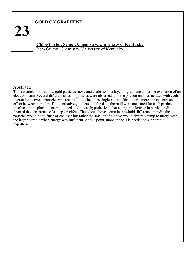# **GOLD ON GRAPHENE**

**23**

**Chloe Porter, Senior, Chemistry, University of Kentucky** Beth Guiton, Chemistry, University of Kentucky

#### **Abstract:**

This research looks at how gold particles move and coalesce on a layer of graphene under the excitation of an electron beam. Several different sizes of particles were observed, and the phenomenon associated with each interaction between particles was recorded; this includes single-atom diffusion or a more abrupt snap-on effect between particles. To quantitatively understand the data, the radii were measured for each particle involved in the phenomena mentioned, and it was hypothesized that a larger difference in particle radii favored the occurrence of a snap-on effect. Therefore, above a certain threshold difference in radii, the particles would not diffuse or coalesce but rather the smaller of the two would abruptly jump to merge with the larger particle when energy was sufficient. At this point, more analysis is needed to support the hypothesis.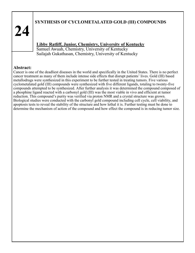# **SYNTHESIS OF CYCLOMETALATED GOLD (III) COMPOUNDS**

# **Libby Ratliff, Junior, Chemistry, University of Kentucky**

Samuel Awuah, Chemistry, University of Kentucky Sailajah Gukathasan, Chemistry, University of Kentucky

# **Abstract:**

Cancer is one of the deadliest diseases in the world and specifically in the United States. There is no perfect cancer treatment as many of them include intense side effects that disrupt patients' lives. Gold (III) based metallodrugs were synthesized in this experiment to be further tested in treating tumors. Five various cyclometalated gold (III) compounds were synthesized with five different ligands, totaling to twenty-five compounds attempted to be synthesized. After further analysis it was determined the compound composed of a phosphine ligand reacted with a carbonyl gold (III) was the most viable in vivo and efficient at tumor reduction. This compound's purity was verified via proton NMR and a crystal structure was grown. Biological studies were conducted with the carbonyl gold compound including cell cycle, cell viability, and apoptosis tests to reveal the stability of the structure and how lethal it is. Further testing must be done to determine the mechanism of action of the compound and how effect the compound is in reducing tumor size.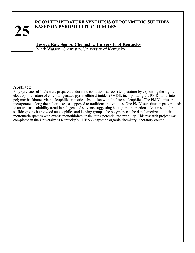# **ROOM TEMPERATURE SYNTHESIS OF POLYMERIC SULFIDES BASED ON PYROMELLITIC DIIMIDES**

**Jessica Ray, Senior, Chemistry, University of Kentucky** Mark Watson, Chemistry, University of Kentucky

#### **Abstract:**

Poly (arylene sulfide)s were prepared under mild conditions at room temperature by exploiting the highly electrophilic nature of core-halogenated pyromellitic diimides (PMDI), incorporating the PMDI units into polymer backbones via nucleophilic aromatic substitution with thiolate nucleophiles. The PMDI units are incorporated along their short axes, as opposed to traditional polyimides. One PMDI substitution pattern leads to an unusual solubility trend in halogenated solvents suggesting host-guest interactions. As a result of the sulfide groups being good nucleophiles and leaving groups, the polymers can be depolymerized to their monomeric species with excess monothiolate, insinuating potential renewability. This research project was completed in the University of Kentucky's CHE 533 capstone organic chemistry laboratory course.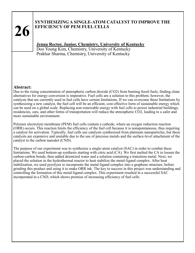# **SYNTHESIZING A SINGLE-ATOM CATALYST TO IMPROVE THE EFFICIENCY OF PEM FUEL CELLS**

# **Jenna Rector, Junior, Chemistry, University of Kentucky**

Doo Young Kim, Chemistry, University of Kentucky Prakhar Sharma, Chemistry, University of Kentucky

### **Abstract:**

Due to the rising concentration of atmospheric carbon dioxide (CO2) from burning fossil fuels, finding clean alternatives for energy conversion is imperative. Fuel cells are a solution to this problem; however, the catalysts that are currently used in fuel cells have certain limitations. If we can overcome these limitations by synthesizing a new catalyst, the fuel cell will be an efficient, cost-effective form of sustainable energy which can be used on a global scale. Replacing non-renewable energy with fuel cells to power industrial buildings, residencies, cars, and other forms of transportation will reduce the atmospheric CO2, leading to a safer and more sustainable environment.

Polymer electrolyte membrane (PEM) fuel cells contain a cathode, where an oxygen reduction reaction (ORR) occurs. This reaction limits the efficiency of the fuel cell because it is nonspontaneous, thus requiring a catalyst for activation. Typically, fuel cells use catalysts synthesized from platinum nanoparticles, but these catalysts are expensive and unstable due to the use of precious metals and the surface-level attachment of the catalyst to the carbon nanodot (CND).

The purpose of our experiment was to synthesize a single-atom catalyst (SAC) in order to combat these limitations. We used bottom-up synthesis starting with citric acid (CA). We first melted the CA to loosen the carbon-carbon bonds, then added deionized water and a solution containing a transition metal. Next, we placed the solution in the hydrothermal reactor to heat stabilize the metal-ligand complex. After heat stabilization, we used pyrolysis to incorporate the metal-ligand complex into a graphene structure, before grinding this product and using it to make ORR ink. The key to success in this project was understanding and controlling the formation of this metal-ligand complex. This experiment resulted in a successful SAC incorporated in a CND, which shows promise of increasing efficiency of fuel cells.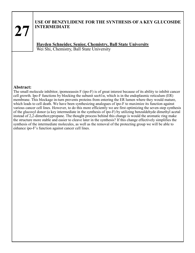# **USE OF BENZYLIDENE FOR THE SYNTHESIS OF A KEY GLUCOSIDE INTERMEDIATE**

**Hayden Schneider, Senior, Chemistry, Ball State University** Wei Shi, Chemistry, Ball State University

#### **Abstract:**

The small molecule inhibitor, ipomoeassin F (ipo-F) is of great interest because of its ability to inhibit cancer cell growth. Ipo-F functions by blocking the subunit  $\sec 61\alpha$ , which is in the endoplasmic reticulum (ER) membrane. This blockage in-turn prevents proteins from entering the ER lumen where they would mature, which leads to cell death. We have been synthesizing analogues of ipo-F to maximize its function against various cancer cell lines. However, to do this more efficiently we are first optimizing the seven-step synthesis of the glucosyl donor (a key intermediate in the synthesis of ipo-F) by utilizing benzaldehyde dimethyl acetal instead of 2,2-dimethoxypropane. The thought process behind this change is would the aromatic ring make the structure more stable and easier to cleave later in the synthesis? If this change effectively simplifies the synthesis of the intermediate molecules, as well as the removal of the protecting group we will be able to enhance ipo-F's function against cancer cell lines.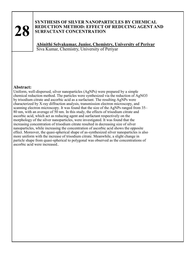#### **SYNTHESIS OF SILVER NANOPARTICLES BY CHEMICAL REDUCTION METHOD: EFFECT OF REDUCING AGENT AND SURFACTANT CONCENTRATION**

**Abinithi Selvakumar, Junior, Chemistry, University of Periyar** Siva Kumar, Chemistry, University of Periyar

#### **Abstract:**

Uniform, well-dispersed, silver nanoparticles (AgNPs) were prepared by a simple chemical reduction method. The particles were synthesized via the reduction of AgNO3 by trisodium citrate and ascorbic acid as a surfactant. The resulting AgNPs were characterized by X-ray diffraction analysis, transmission electron microscopy, and scanning electron microscopy. It was found that the size of the AgNPs ranged from 35– 80 nm, with an average of 50 nm. In this study, the effects of trisodium citrate and ascorbic acid, which act as reducing agent and surfactant respectively on the morphology of the silver nanoparticles, were investigated. It was found that the increasing concentration of trisodium citrate resulted in decreasing size of silver nanoparticles, while increasing the concentration of ascorbic acid shows the opposite effect. Moreover, the quasi-spherical shape of as-synthesized silver nanoparticles is also more uniform with the increase of trisodium citrate. Meanwhile, a slight change in particle shape from quasi-spherical to polygonal was observed as the concentrations of ascorbic acid were increased..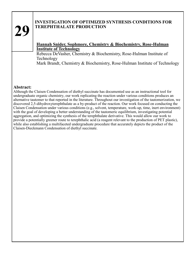# **INVESTIGATION OF OPTIMIZED SYNTHESIS CONDITIONS FOR TEREPHTHALATE PRODUCTION**

# **Hannah Snider, Sophmore, Chemistry & Biochemistry, Rose-Hulman Institute of Technology**

Rebecca DeVasher, Chemistry & Biochemistry, Rose-Hulman Institute of Technology

Mark Brandt, Chemistry & Biochemistry, Rose-Hulman Institute of Technology

#### **Abstract:**

Although the Claisen Condensation of diethyl succinate has documented use as an instructional tool for undergraduate organic chemistry, our work replicating the reaction under various conditions produces an alternative tautomer to that reported in the literature. Throughout our investigation of the tautomerization, we discovered 2,5-dihydroxyterephthalate as a by-product of the reaction. Our work focused on conducting the Claisen Condensation under various conditions (e.g., solvent, temperature, work-up, time, inert environment) with the goal of developing a better understanding of the tautomeric equilibrium, investigating potential aggregation, and optimizing the synthesis of the terephthalate derivative. This would allow our work to provide a potentially greener route to terephthalic acid (a reagent relevant to the production of PET plastic), while also establishing a multifaceted undergraduate procedure that accurately depicts the product of the Claisen-Dieckmann Condensation of diethyl succinate.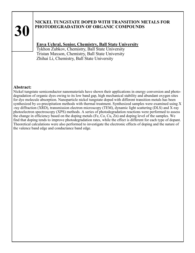# **NICKEL TUNGSTATE DOPED WITH TRANSITION METALS FOR PHOTODEGRADATION OF ORGANIC COMPOUNDS**

# **Enya Uchral, Senior, Chemistry, Ball State University**

Tykhon Zubkov, Chemistry, Ball State University Tristan Maxson, Chemistry, Ball State University Zhihai Li, Chemistry, Ball State University

#### **Abstract:**

Nickel tungstate semiconductor nanomaterials have shown their applications in energy conversion and photodegradation of organic dyes owing to its low band gap, high mechanical stability and abundant oxygen sites for dye molecule absorption. Nanoparticle nickel tungstate doped with different transition metals has been synthesized by co-precipitation methods with thermal treatment. Synthesized samples were examined using X -ray diffraction (XRD), transmission electron microscopy (TEM), dynamic light scattering (DLS) and X-ray photoelectron spectroscopy (XPS) methods. A series of photodegradation reactions were performed to assess the change in efficiency based on the doping metals (Fe, Co, Cu, Zn) and doping level of the samples. We find that doping tends to improve photodegradation rates, while the effect is different for each type of dopant. Theoretical calculations were also performed to investigate the electronic effects of doping and the nature of the valence band edge and conductance band edge.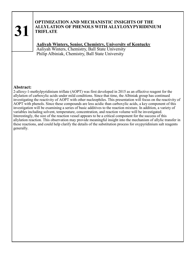### **OPTIMIZATION AND MECHANISTIC INSIGHTS OF THE ALLYLATION OF PHENOLS WITH ALLYLOXYPYRIDINIUM TRIFLATE**

**Aaliyah Winters, Senior, Chemistry, University of Kentucky**

Aaliyah Winters, Chemistry, Ball State University Philip Albiniak, Chemistry, Ball State University

#### **Abstract:**

2-alloxy-1-methylpyridinium triflate (AOPT) was first developed in 2015 as an effective reagent for the allylation of carboxylic acids under mild conditions. Since that time, the Albiniak group has continued investigating the reactivity of AOPT with other nucleophiles. This presentation will focus on the reactivity of AOPT with phenols. Since these compounds are less acidic than carboxylic acids, a key component of this investigation will be examining a series of basic additives to the reaction mixture. In addition, a variety of variables including solvent, temperature, concentration, and reaction volume will be investigated. Interestingly, the size of the reaction vessel appears to be a critical component for the success of this allylation reaction. This observation may provide meaningful insight into the mechanism of allylic transfer in these reactions, and could help clarify the details of the substitution process for oxypyridinium salt reagents generally.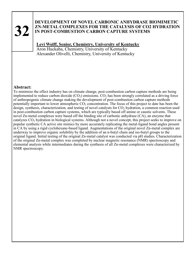### **DEVELOPMENT OF NOVEL CARBONIC ANHYDRASE BIOMIMETIC ZN-METAL COMPLEXES FOR THE CATALYSIS OF CO2 HYDRATION IN POST-COMBUSTION CARBON CAPTURE SYSTEMS**

# **Levi Wolff, Senior, Chemistry, University of Kentucky**

Aron Huckaba, Chemistry, University of Kentucky Alexander Olivelli, Chemistry, University of Kentucky

#### **Abstract:**

To minimize the effect industry has on climate change, post-combustion carbon capture methods are being implemented to reduce carbon dioxide  $(CO_2)$  emissions.  $CO_2$  has been strongly correlated as a driving force of anthropogenic climate change making the development of post-combustion carbon capture methods potentially important to lower atmospheric  $CO<sub>2</sub>$  concentration. The focus of this project to date has been the design, synthesis, characterization, and testing of novel catalysts for  $CO<sub>2</sub>$  hydration, a common reaction used in post-combustion carbon capture systems, which are typically based off amine or caustic solvents. These novel Zn-metal complexes were based off the binding site of carbonic anhydrase (CA), an enzyme that catalyzes  $CO<sub>2</sub>$  hydration in biological systems. Although not a novel concept, this project seeks to improve on popular synthetic CA active site mimics by more accurately replicating the metal-ligand bond angles present in CA by using a rigid cyclohexane-based ligand. Augmentations of the original novel Zn-metal complex are underway to improve organic solubility by the addition of an n-butyl chain and iso-butyl groups to the original ligand. Initial testing of the original Zn-metal catalyst was conducted via pH studies. Characterization of the original Zn-metal complex was completed by nuclear magnetic resonance (NMR) spectroscopy and elemental analysis while intermediates during the synthesis of all Zn-metal complexes were characterized by NMR spectroscopy.